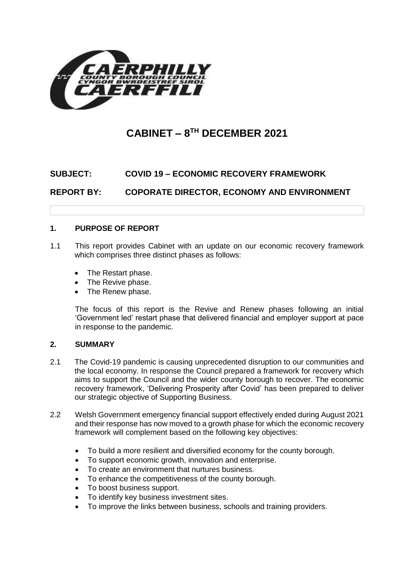

# **CABINET – 8 TH DECEMBER 2021**

## **SUBJECT: COVID 19 – ECONOMIC RECOVERY FRAMEWORK**

**REPORT BY: COPORATE DIRECTOR, ECONOMY AND ENVIRONMENT**

## **1. PURPOSE OF REPORT**

- 1.1 This report provides Cabinet with an update on our economic recovery framework which comprises three distinct phases as follows:
	- The Restart phase.
	- The Revive phase.
	- The Renew phase.

The focus of this report is the Revive and Renew phases following an initial 'Government led' restart phase that delivered financial and employer support at pace in response to the pandemic.

#### **2. SUMMARY**

- 2.1 The Covid-19 pandemic is causing unprecedented disruption to our communities and the local economy. In response the Council prepared a framework for recovery which aims to support the Council and the wider county borough to recover. The economic recovery framework, 'Delivering Prosperity after Covid' has been prepared to deliver our strategic objective of Supporting Business.
- 2.2 Welsh Government emergency financial support effectively ended during August 2021 and their response has now moved to a growth phase for which the economic recovery framework will complement based on the following key objectives:
	- To build a more resilient and diversified economy for the county borough.
	- To support economic growth, innovation and enterprise.
	- To create an environment that nurtures business.
	- To enhance the competitiveness of the county borough.
	- To boost business support.
	- To identify key business investment sites.
	- To improve the links between business, schools and training providers.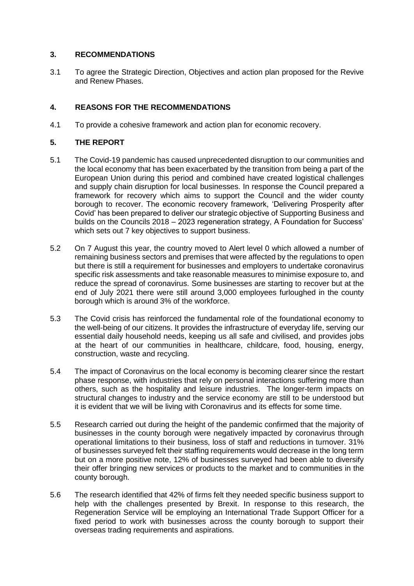## **3. RECOMMENDATIONS**

3.1 To agree the Strategic Direction, Objectives and action plan proposed for the Revive and Renew Phases.

## **4. REASONS FOR THE RECOMMENDATIONS**

4.1 To provide a cohesive framework and action plan for economic recovery.

#### **5. THE REPORT**

- 5.1 The Covid-19 pandemic has caused unprecedented disruption to our communities and the local economy that has been exacerbated by the transition from being a part of the European Union during this period and combined have created logistical challenges and supply chain disruption for local businesses. In response the Council prepared a framework for recovery which aims to support the Council and the wider county borough to recover. The economic recovery framework, 'Delivering Prosperity after Covid' has been prepared to deliver our strategic objective of Supporting Business and builds on the Councils 2018 – 2023 regeneration strategy, A Foundation for Success' which sets out 7 key objectives to support business.
- 5.2 On 7 August this year, the country moved to Alert level 0 which allowed a number of remaining business sectors and premises that were affected by the regulations to open but there is still a requirement for businesses and employers to undertake coronavirus specific risk assessments and take reasonable measures to minimise exposure to, and reduce the spread of coronavirus. Some businesses are starting to recover but at the end of July 2021 there were still around 3,000 employees furloughed in the county borough which is around 3% of the workforce.
- 5.3 The Covid crisis has reinforced the fundamental role of the foundational economy to the well-being of our citizens. It provides the infrastructure of everyday life, serving our essential daily household needs, keeping us all safe and civilised, and provides jobs at the heart of our communities in healthcare, childcare, food, housing, energy, construction, waste and recycling.
- 5.4 The impact of Coronavirus on the local economy is becoming clearer since the restart phase response, with industries that rely on personal interactions suffering more than others, such as the hospitality and leisure industries. The longer-term impacts on structural changes to industry and the service economy are still to be understood but it is evident that we will be living with Coronavirus and its effects for some time.
- 5.5 Research carried out during the height of the pandemic confirmed that the majority of businesses in the county borough were negatively impacted by coronavirus through operational limitations to their business, loss of staff and reductions in turnover. 31% of businesses surveyed felt their staffing requirements would decrease in the long term but on a more positive note, 12% of businesses surveyed had been able to diversify their offer bringing new services or products to the market and to communities in the county borough.
- 5.6 The research identified that 42% of firms felt they needed specific business support to help with the challenges presented by Brexit. In response to this research, the Regeneration Service will be employing an International Trade Support Officer for a fixed period to work with businesses across the county borough to support their overseas trading requirements and aspirations.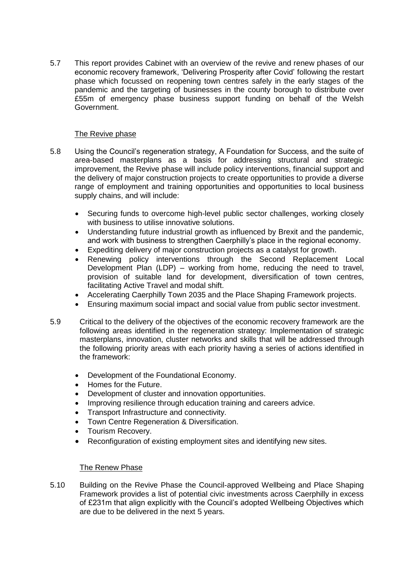5.7 This report provides Cabinet with an overview of the revive and renew phases of our economic recovery framework, 'Delivering Prosperity after Covid' following the restart phase which focussed on reopening town centres safely in the early stages of the pandemic and the targeting of businesses in the county borough to distribute over £55m of emergency phase business support funding on behalf of the Welsh Government.

#### The Revive phase

- 5.8 Using the Council's regeneration strategy, A Foundation for Success, and the suite of area-based masterplans as a basis for addressing structural and strategic improvement, the Revive phase will include policy interventions, financial support and the delivery of major construction projects to create opportunities to provide a diverse range of employment and training opportunities and opportunities to local business supply chains, and will include:
	- Securing funds to overcome high-level public sector challenges, working closely with business to utilise innovative solutions.
	- Understanding future industrial growth as influenced by Brexit and the pandemic, and work with business to strengthen Caerphilly's place in the regional economy.
	- Expediting delivery of major construction projects as a catalyst for growth.
	- Renewing policy interventions through the Second Replacement Local Development Plan (LDP) – working from home, reducing the need to travel, provision of suitable land for development, diversification of town centres, facilitating Active Travel and modal shift.
	- Accelerating Caerphilly Town 2035 and the Place Shaping Framework projects.
	- Ensuring maximum social impact and social value from public sector investment.
- 5.9 Critical to the delivery of the objectives of the economic recovery framework are the following areas identified in the regeneration strategy: Implementation of strategic masterplans, innovation, cluster networks and skills that will be addressed through the following priority areas with each priority having a series of actions identified in the framework:
	- Development of the Foundational Economy.
	- Homes for the Future.
	- Development of cluster and innovation opportunities.
	- Improving resilience through education training and careers advice.
	- Transport Infrastructure and connectivity.
	- Town Centre Regeneration & Diversification.
	- Tourism Recovery.
	- Reconfiguration of existing employment sites and identifying new sites.

#### The Renew Phase

5.10 Building on the Revive Phase the Council-approved Wellbeing and Place Shaping Framework provides a list of potential civic investments across Caerphilly in excess of £231m that align explicitly with the Council's adopted Wellbeing Objectives which are due to be delivered in the next 5 years.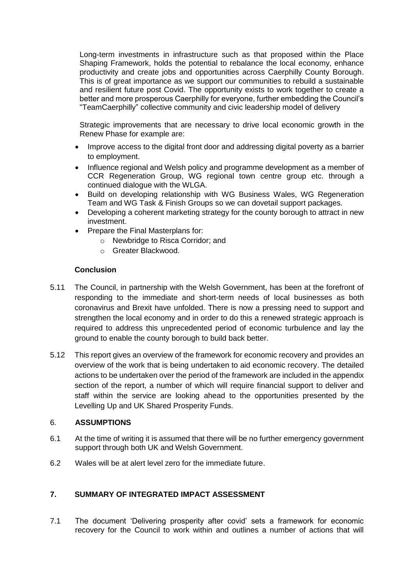Long-term investments in infrastructure such as that proposed within the Place Shaping Framework, holds the potential to rebalance the local economy, enhance productivity and create jobs and opportunities across Caerphilly County Borough. This is of great importance as we support our communities to rebuild a sustainable and resilient future post Covid. The opportunity exists to work together to create a better and more prosperous Caerphilly for everyone, further embedding the Council's "TeamCaerphilly" collective community and civic leadership model of delivery

Strategic improvements that are necessary to drive local economic growth in the Renew Phase for example are:

- Improve access to the digital front door and addressing digital poverty as a barrier to employment.
- Influence regional and Welsh policy and programme development as a member of CCR Regeneration Group, WG regional town centre group etc. through a continued dialogue with the WLGA.
- Build on developing relationship with WG Business Wales, WG Regeneration Team and WG Task & Finish Groups so we can dovetail support packages.
- Developing a coherent marketing strategy for the county borough to attract in new investment.
- Prepare the Final Masterplans for:
	- o Newbridge to Risca Corridor; and
	- o Greater Blackwood.

#### **Conclusion**

- 5.11 The Council, in partnership with the Welsh Government, has been at the forefront of responding to the immediate and short-term needs of local businesses as both coronavirus and Brexit have unfolded. There is now a pressing need to support and strengthen the local economy and in order to do this a renewed strategic approach is required to address this unprecedented period of economic turbulence and lay the ground to enable the county borough to build back better.
- 5.12 This report gives an overview of the framework for economic recovery and provides an overview of the work that is being undertaken to aid economic recovery. The detailed actions to be undertaken over the period of the framework are included in the appendix section of the report, a number of which will require financial support to deliver and staff within the service are looking ahead to the opportunities presented by the Levelling Up and UK Shared Prosperity Funds.

#### 6. **ASSUMPTIONS**

- 6.1 At the time of writing it is assumed that there will be no further emergency government support through both UK and Welsh Government.
- 6.2 Wales will be at alert level zero for the immediate future.

#### **7. SUMMARY OF INTEGRATED IMPACT ASSESSMENT**

7.1 The document 'Delivering prosperity after covid' sets a framework for economic recovery for the Council to work within and outlines a number of actions that will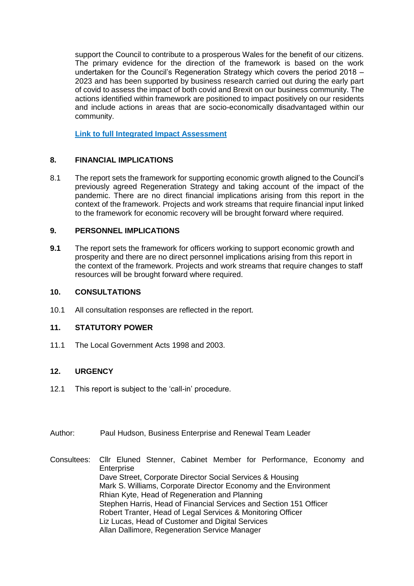support the Council to contribute to a prosperous Wales for the benefit of our citizens. The primary evidence for the direction of the framework is based on the work undertaken for the Council's Regeneration Strategy which covers the period 2018 – 2023 and has been supported by business research carried out during the early part of covid to assess the impact of both covid and Brexit on our business community. The actions identified within framework are positioned to impact positively on our residents and include actions in areas that are socio-economically disadvantaged within our community.

**[Link to full Integrated Impact Assessment](https://www.caerphilly.gov.uk/CaerphillyDocs/IIA/CCBC-IIA-Form-ERF-Final)**

## **8. FINANCIAL IMPLICATIONS**

8.1 The report sets the framework for supporting economic growth aligned to the Council's previously agreed Regeneration Strategy and taking account of the impact of the pandemic. There are no direct financial implications arising from this report in the context of the framework. Projects and work streams that require financial input linked to the framework for economic recovery will be brought forward where required.

## **9. PERSONNEL IMPLICATIONS**

**9.1** The report sets the framework for officers working to support economic growth and prosperity and there are no direct personnel implications arising from this report in the context of the framework. Projects and work streams that require changes to staff resources will be brought forward where required.

## **10. CONSULTATIONS**

10.1 All consultation responses are reflected in the report.

## **11. STATUTORY POWER**

11.1 The Local Government Acts 1998 and 2003.

## **12. URGENCY**

- 12.1 This report is subject to the 'call-in' procedure.
- Author: Paul Hudson, Business Enterprise and Renewal Team Leader
- Consultees: Cllr Eluned Stenner, Cabinet Member for Performance, Economy and **Enterprise** Dave Street, Corporate Director Social Services & Housing Mark S. Williams, Corporate Director Economy and the Environment Rhian Kyte, Head of Regeneration and Planning Stephen Harris, Head of Financial Services and Section 151 Officer Robert Tranter, Head of Legal Services & Monitoring Officer Liz Lucas, Head of Customer and Digital Services Allan Dallimore, Regeneration Service Manager